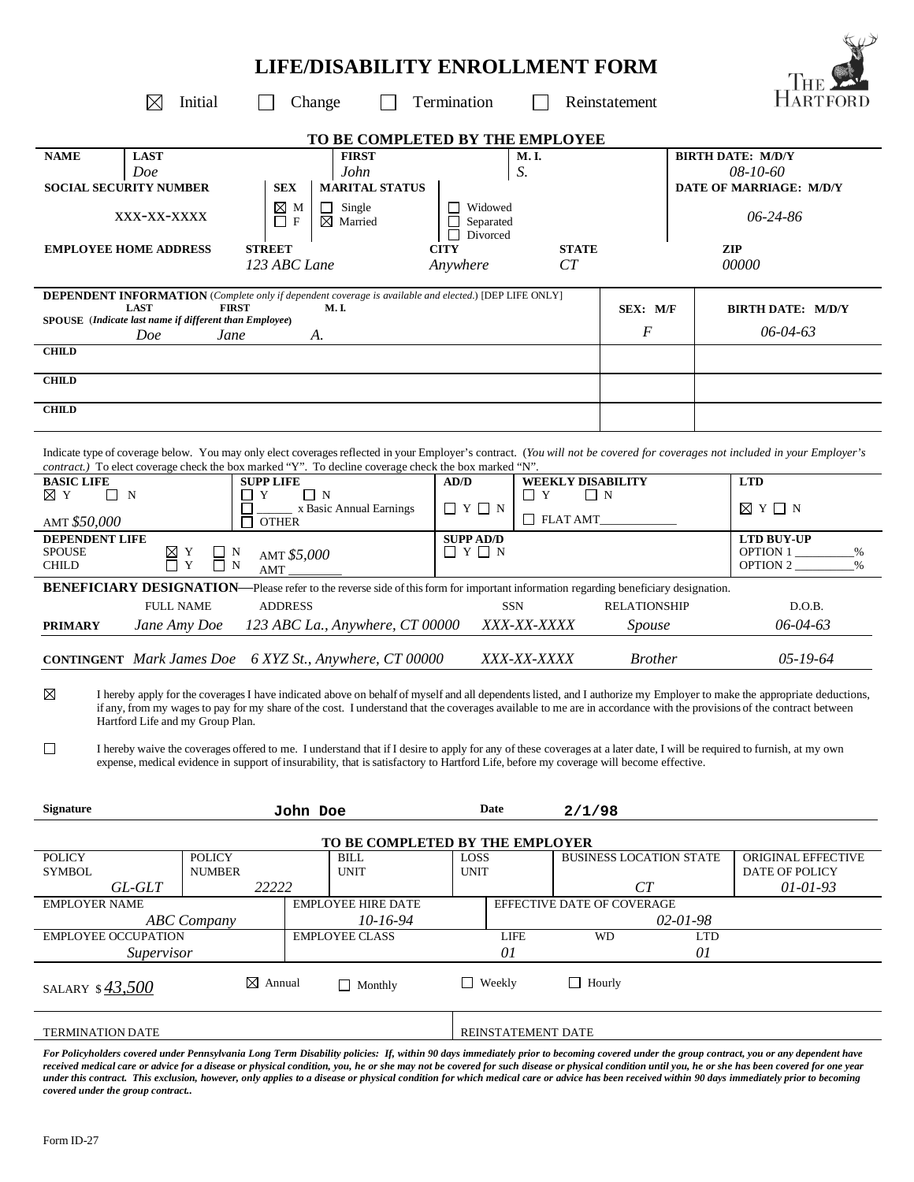| <b>LIFE/DISABILITY ENROLLMENT FORM</b>                                                                                                                                                                                                                                              |                                                                |                                         |                                |                                      |  |  |  |  |  |  |
|-------------------------------------------------------------------------------------------------------------------------------------------------------------------------------------------------------------------------------------------------------------------------------------|----------------------------------------------------------------|-----------------------------------------|--------------------------------|--------------------------------------|--|--|--|--|--|--|
| Initial<br>Termination<br>Change<br>Reinstatement<br>$\bowtie$                                                                                                                                                                                                                      |                                                                |                                         |                                |                                      |  |  |  |  |  |  |
| TO BE COMPLETED BY THE EMPLOYEE                                                                                                                                                                                                                                                     |                                                                |                                         |                                |                                      |  |  |  |  |  |  |
| <b>LAST</b><br><b>NAME</b>                                                                                                                                                                                                                                                          | <b>FIRST</b>                                                   | M.I.                                    |                                | <b>BIRTH DATE: M/D/Y</b>             |  |  |  |  |  |  |
| Doe                                                                                                                                                                                                                                                                                 | John                                                           | S.                                      |                                | 08-10-60                             |  |  |  |  |  |  |
| <b>SOCIAL SECURITY NUMBER</b>                                                                                                                                                                                                                                                       | <b>MARITAL STATUS</b><br><b>SEX</b>                            |                                         |                                | DATE OF MARRIAGE: M/D/Y              |  |  |  |  |  |  |
| XXX-XX-XXXX<br>$\Box$                                                                                                                                                                                                                                                               | ⊠м<br>Single<br>$\perp$<br>$\mathbf{F}$<br>$\boxtimes$ Married | $\Box$ Widowed<br>Separated<br>Divorced | $06 - 24 - 86$                 |                                      |  |  |  |  |  |  |
| <b>STREET</b><br><b>EMPLOYEE HOME ADDRESS</b>                                                                                                                                                                                                                                       | 123 ABC Lane                                                   | <b>CITY</b><br>Anywhere                 | <b>STATE</b><br>CT             | ZIP<br>00000                         |  |  |  |  |  |  |
| <b>DEPENDENT INFORMATION</b> (Complete only if dependent coverage is available and elected.) [DEP LIFE ONLY]                                                                                                                                                                        |                                                                |                                         |                                |                                      |  |  |  |  |  |  |
| <b>LAST</b><br><b>FIRST</b>                                                                                                                                                                                                                                                         | <b>M.I.</b>                                                    |                                         | SEX: M/F                       | <b>BIRTH DATE: M/D/Y</b>             |  |  |  |  |  |  |
| SPOUSE (Indicate last name if different than Employee)<br>Doe<br>Jane                                                                                                                                                                                                               | A.                                                             |                                         | F                              | $06 - 04 - 63$                       |  |  |  |  |  |  |
| <b>CHILD</b>                                                                                                                                                                                                                                                                        |                                                                |                                         |                                |                                      |  |  |  |  |  |  |
| <b>CHILD</b>                                                                                                                                                                                                                                                                        |                                                                |                                         |                                |                                      |  |  |  |  |  |  |
| <b>CHILD</b>                                                                                                                                                                                                                                                                        |                                                                |                                         |                                |                                      |  |  |  |  |  |  |
|                                                                                                                                                                                                                                                                                     |                                                                |                                         |                                |                                      |  |  |  |  |  |  |
| Indicate type of coverage below. You may only elect coverages reflected in your Employer's contract. (You will not be covered for coverages not included in your Employer's<br>contract.) To elect coverage check the box marked "Y". To decline coverage check the box marked "N". |                                                                |                                         |                                |                                      |  |  |  |  |  |  |
| <b>BASIC LIFE</b><br><b>SUPP LIFE</b>                                                                                                                                                                                                                                               |                                                                | AD/D                                    | <b>WEEKLY DISABILITY</b>       | <b>LTD</b>                           |  |  |  |  |  |  |
| ⊠Υ<br>$\Box$ N<br>$\Box$ Y<br>П                                                                                                                                                                                                                                                     | $\Box$ N<br>x Basic Annual Earnings                            | $\Box$ Y<br>$\Box$ Y $\Box$ N           | $\Box$ N                       | ⊠ Y □ N                              |  |  |  |  |  |  |
| <b>OTHER</b><br>AMT \$50,000                                                                                                                                                                                                                                                        | $\Box$ FLAT AMT                                                | <b>LTD BUY-UP</b>                       |                                |                                      |  |  |  |  |  |  |
| DEPENDENT LIFE<br><b>SPOUSE</b><br>$\begin{array}{c} \boxtimes \text{ } \text{Y} \\ \square \text{ } \text{Y} \end{array}$<br>$\sqcup$ N<br>AMT \$5,000<br>$\mathbf Y$<br>$\overline{\Box}$ N<br><b>CHILD</b><br>AMT                                                                | <b>SUPP AD/D</b><br>$\Box Y \Box N$                            | OPTION 1<br>OPTION 2                    |                                |                                      |  |  |  |  |  |  |
| <b>BENEFICIARY DESIGNATION—Please refer to the reverse side of this form for important information regarding beneficiary designation.</b>                                                                                                                                           |                                                                |                                         |                                |                                      |  |  |  |  |  |  |
| <b>FULL NAME</b>                                                                                                                                                                                                                                                                    | <b>ADDRESS</b>                                                 | <b>SSN</b>                              | <b>RELATIONSHIP</b>            |                                      |  |  |  |  |  |  |
| 123 ABC La., Anywhere, CT 00000<br>Jane Amy Doe<br><b>PRIMARY</b>                                                                                                                                                                                                                   | XXX-XX-XXXX<br>Spouse                                          | 06-04-63                                |                                |                                      |  |  |  |  |  |  |
| <b>CONTINGENT</b> Mark James Doe 6 XYZ St., Anywhere, CT 00000<br>XXX-XX-XXXX<br><b>Brother</b><br>$05 - 19 - 64$                                                                                                                                                                   |                                                                |                                         |                                |                                      |  |  |  |  |  |  |
| $\boxtimes$<br>I hereby apply for the coverages I have indicated above on behalf of myself and all dependents listed, and I authorize my Employer to make the appropriate deductions,                                                                                               |                                                                |                                         |                                |                                      |  |  |  |  |  |  |
| if any, from my wages to pay for my share of the cost. I understand that the coverages available to me are in accordance with the provisions of the contract between<br>Hartford Life and my Group Plan.                                                                            |                                                                |                                         |                                |                                      |  |  |  |  |  |  |
| $\Box$<br>I hereby waive the coverages offered to me. I understand that if I desire to apply for any of these coverages at a later date, I will be required to furnish, at my own                                                                                                   |                                                                |                                         |                                |                                      |  |  |  |  |  |  |
| expense, medical evidence in support of insurability, that is satisfactory to Hartford Life, before my coverage will become effective.                                                                                                                                              |                                                                |                                         |                                |                                      |  |  |  |  |  |  |
|                                                                                                                                                                                                                                                                                     |                                                                |                                         |                                |                                      |  |  |  |  |  |  |
| <b>Signature</b>                                                                                                                                                                                                                                                                    | John Doe                                                       | Date                                    | 2/1/98                         |                                      |  |  |  |  |  |  |
|                                                                                                                                                                                                                                                                                     | TO BE COMPLETED BY THE EMPLOYER                                |                                         |                                |                                      |  |  |  |  |  |  |
| <b>POLICY</b><br><b>POLICY</b><br><b>NUMBER</b><br><b>SYMBOL</b>                                                                                                                                                                                                                    | <b>BILL</b><br><b>UNIT</b>                                     | LOSS<br><b>UNIT</b>                     | <b>BUSINESS LOCATION STATE</b> | ORIGINAL EFFECTIVE<br>DATE OF POLICY |  |  |  |  |  |  |
| 22222<br>GL-GLT                                                                                                                                                                                                                                                                     |                                                                |                                         | CT                             | $01 - 01 - 93$                       |  |  |  |  |  |  |
| <b>EMPLOYER NAME</b>                                                                                                                                                                                                                                                                | <b>EMPLOYEE HIRE DATE</b>                                      |                                         | EFFECTIVE DATE OF COVERAGE     |                                      |  |  |  |  |  |  |
| <b>ABC</b> Company                                                                                                                                                                                                                                                                  | 10-16-94                                                       |                                         |                                | $02 - 01 - 98$                       |  |  |  |  |  |  |
| EMPLOYEE OCCUPATION<br>Supervisor                                                                                                                                                                                                                                                   | <b>EMPLOYEE CLASS</b>                                          | <b>LIFE</b><br>01                       | WD                             | <b>LTD</b><br>01                     |  |  |  |  |  |  |
|                                                                                                                                                                                                                                                                                     |                                                                |                                         |                                |                                      |  |  |  |  |  |  |
| $\boxtimes$ Annual<br>SALARY $$43,500$                                                                                                                                                                                                                                              | $\Box$ Monthly                                                 | $\Box$ Weekly                           | $\Box$ Hourly                  |                                      |  |  |  |  |  |  |
|                                                                                                                                                                                                                                                                                     |                                                                |                                         |                                |                                      |  |  |  |  |  |  |
| <b>TERMINATION DATE</b><br>REINSTATEMENT DATE<br>For Policyholders covered under Pennsylvania Long Term Dischility policies: If within 90 days immediately prior to becoming covered under the group contract you or any dependent have                                             |                                                                |                                         |                                |                                      |  |  |  |  |  |  |

*For Policyholders covered under Pennsylvania Long Term Disability policies: If, within 90 days immediately prior to becoming covered under the group contract, you or any dependent have received medical care or advice for a disease or physical condition, you, he or she may not be covered for such disease or physical condition until you, he or she has been covered for one year under this contract. This exclusion, however, only applies to a disease or physical condition for which medical care or advice has been received within 90 days immediately prior to becoming covered under the group contract..*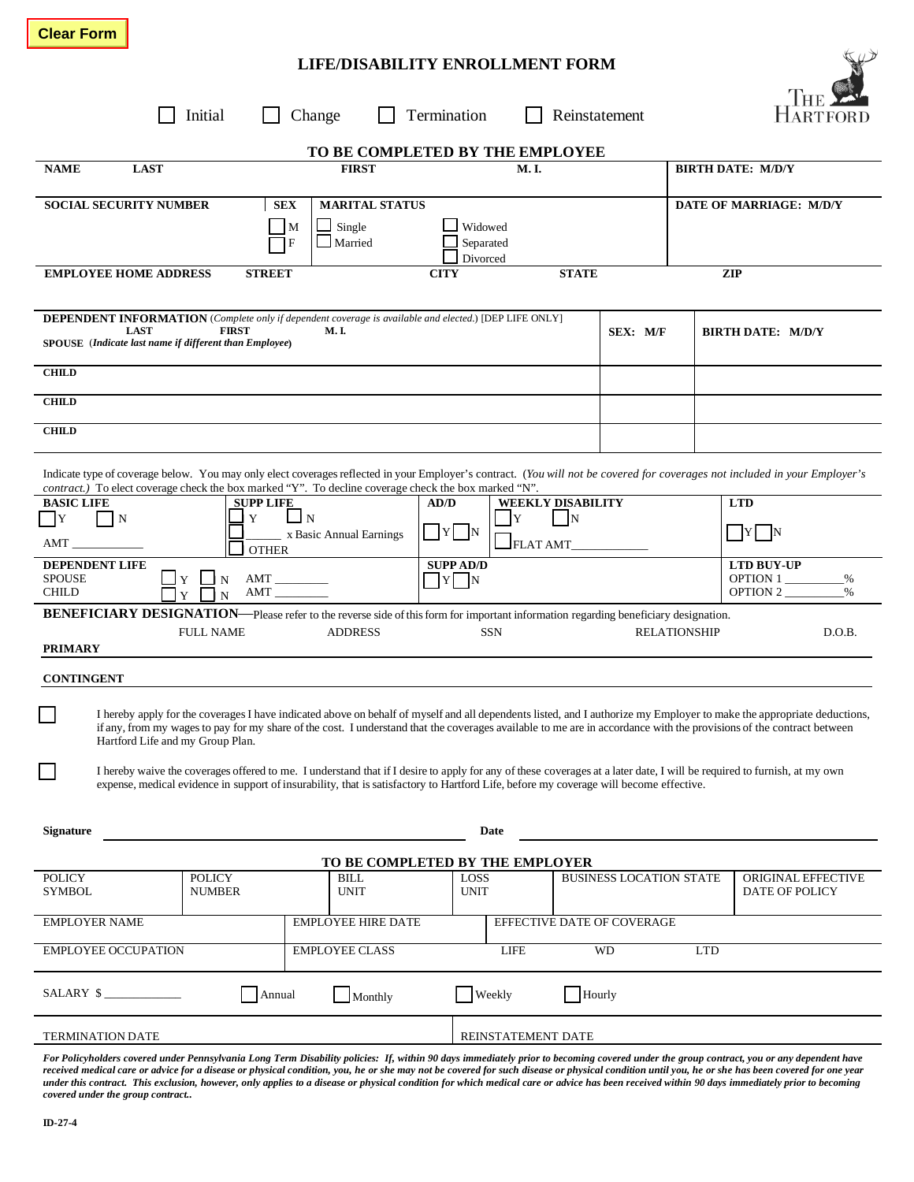## **LIFE/DISABILITY ENROLLMENT FORM**

|                                                                                                                                                                                                                                                                                                                                                                                    | Initial                                                  | Change                                    | Termination                     |                                                                 |              | Reinstatement                  |                                                     |                          |                                      |  |  |
|------------------------------------------------------------------------------------------------------------------------------------------------------------------------------------------------------------------------------------------------------------------------------------------------------------------------------------------------------------------------------------|----------------------------------------------------------|-------------------------------------------|---------------------------------|-----------------------------------------------------------------|--------------|--------------------------------|-----------------------------------------------------|--------------------------|--------------------------------------|--|--|
| TO BE COMPLETED BY THE EMPLOYEE                                                                                                                                                                                                                                                                                                                                                    |                                                          |                                           |                                 |                                                                 |              |                                |                                                     |                          |                                      |  |  |
| <b>NAME</b><br><b>LAST</b>                                                                                                                                                                                                                                                                                                                                                         |                                                          |                                           | <b>FIRST</b><br>M.I.            |                                                                 |              |                                |                                                     | <b>BIRTH DATE: M/D/Y</b> |                                      |  |  |
| <b>SOCIAL SECURITY NUMBER</b>                                                                                                                                                                                                                                                                                                                                                      | <b>SEX</b>                                               | $\Box$ Single<br>M<br>$\Box$ Married<br>F | <b>MARITAL STATUS</b>           | Widowed<br>Separated                                            |              |                                |                                                     | DATE OF MARRIAGE: M/D/Y  |                                      |  |  |
| <b>EMPLOYEE HOME ADDRESS</b>                                                                                                                                                                                                                                                                                                                                                       | Divorced<br><b>STREET</b><br><b>CITY</b><br><b>STATE</b> |                                           |                                 |                                                                 |              |                                |                                                     | <b>ZIP</b>               |                                      |  |  |
| <b>DEPENDENT INFORMATION</b> (Complete only if dependent coverage is available and elected.) [DEP LIFE ONLY]<br><b>LAST</b><br><b>FIRST</b><br>M. I.<br>SPOUSE (Indicate last name if different than Employee)                                                                                                                                                                     |                                                          |                                           |                                 |                                                                 | SEX: M/F     |                                |                                                     | BIRTH DATE: M/D/Y        |                                      |  |  |
| <b>CHILD</b>                                                                                                                                                                                                                                                                                                                                                                       |                                                          |                                           |                                 |                                                                 |              |                                |                                                     |                          |                                      |  |  |
| <b>CHILD</b>                                                                                                                                                                                                                                                                                                                                                                       |                                                          |                                           |                                 |                                                                 |              |                                |                                                     |                          |                                      |  |  |
| <b>CHILD</b>                                                                                                                                                                                                                                                                                                                                                                       |                                                          |                                           |                                 |                                                                 |              |                                |                                                     |                          |                                      |  |  |
| Indicate type of coverage below. You may only elect coverages reflected in your Employer's contract. (You will not be covered for coverages not included in your Employer's<br>contract.) To elect coverage check the box marked "Y". To decline coverage check the box marked "N".                                                                                                |                                                          |                                           |                                 |                                                                 |              |                                |                                                     |                          |                                      |  |  |
| <b>BASIC LIFE</b><br>$\lfloor Y \rfloor$<br>N                                                                                                                                                                                                                                                                                                                                      | <b>SUPP LIFE</b><br>Y                                    | $\Box$ N<br>x Basic Annual Earnings       | AD/D                            | <b>WEEKLY DISABILITY</b><br>$\mathbf N$<br>- IY<br>$\sqrt{Y}$ N |              |                                |                                                     |                          | <b>LTD</b><br>$ Y $  N               |  |  |
| AMT                                                                                                                                                                                                                                                                                                                                                                                | <b>OTHER</b>                                             |                                           |                                 |                                                                 | $I$ FLAT AMT |                                |                                                     |                          |                                      |  |  |
| <b>SUPP AD/D</b><br><b>DEPENDENT LIFE</b><br>$\prod Y \prod N$<br><b>OPTION 1</b><br><b>SPOUSE</b><br><b>CHILD</b><br>AMT                                                                                                                                                                                                                                                          |                                                          |                                           |                                 |                                                                 |              |                                | <b>LTD BUY-UP</b><br>%<br>OPTION 2<br>$\frac{0}{0}$ |                          |                                      |  |  |
| <b>BENEFICIARY DESIGNATION—Please refer to the reverse side of this form for important information regarding beneficiary designation.</b>                                                                                                                                                                                                                                          |                                                          |                                           |                                 |                                                                 |              |                                |                                                     |                          |                                      |  |  |
| <b>PRIMARY</b>                                                                                                                                                                                                                                                                                                                                                                     | <b>FULL NAME</b>                                         | <b>ADDRESS</b>                            |                                 | <b>SSN</b>                                                      |              |                                |                                                     | <b>RELATIONSHIP</b>      | D.O.B.                               |  |  |
| <b>CONTINGENT</b>                                                                                                                                                                                                                                                                                                                                                                  |                                                          |                                           |                                 |                                                                 |              |                                |                                                     |                          |                                      |  |  |
| I hereby apply for the coverages I have indicated above on behalf of myself and all dependents listed, and I authorize my Employer to make the appropriate deductions,<br>if any, from my wages to pay for my share of the cost. I understand that the coverages available to me are in accordance with the provisions of the contract between<br>Hartford Life and my Group Plan. |                                                          |                                           |                                 |                                                                 |              |                                |                                                     |                          |                                      |  |  |
| I hereby waive the coverages offered to me. I understand that if I desire to apply for any of these coverages at a later date, I will be required to furnish, at my own<br>expense, medical evidence in support of insurability, that is satisfactory to Hartford Life, before my coverage will become effective.                                                                  |                                                          |                                           |                                 |                                                                 |              |                                |                                                     |                          |                                      |  |  |
| Date<br><b>Signature</b>                                                                                                                                                                                                                                                                                                                                                           |                                                          |                                           |                                 |                                                                 |              |                                |                                                     |                          |                                      |  |  |
|                                                                                                                                                                                                                                                                                                                                                                                    |                                                          |                                           | TO BE COMPLETED BY THE EMPLOYER |                                                                 |              |                                |                                                     |                          |                                      |  |  |
| <b>POLICY</b><br><b>SYMBOL</b>                                                                                                                                                                                                                                                                                                                                                     | <b>POLICY</b><br><b>NUMBER</b>                           | <b>BILL</b><br><b>UNIT</b>                |                                 | LOSS<br><b>UNIT</b>                                             |              | <b>BUSINESS LOCATION STATE</b> |                                                     |                          | ORIGINAL EFFECTIVE<br>DATE OF POLICY |  |  |
| <b>EMPLOYER NAME</b>                                                                                                                                                                                                                                                                                                                                                               |                                                          | <b>EMPLOYEE HIRE DATE</b>                 |                                 |                                                                 |              |                                | EFFECTIVE DATE OF COVERAGE                          |                          |                                      |  |  |
| <b>EMPLOYEE OCCUPATION</b>                                                                                                                                                                                                                                                                                                                                                         |                                                          | <b>EMPLOYEE CLASS</b>                     |                                 | <b>LIFE</b>                                                     |              |                                | WD                                                  | <b>LTD</b>               |                                      |  |  |
| SALARY \$                                                                                                                                                                                                                                                                                                                                                                          | Annual                                                   | Monthly                                   |                                 | Weekly                                                          |              | Hourly                         |                                                     |                          |                                      |  |  |
| <b>TERMINATION DATE</b><br>REINSTATEMENT DATE                                                                                                                                                                                                                                                                                                                                      |                                                          |                                           |                                 |                                                                 |              |                                |                                                     |                          |                                      |  |  |
| For Policyholders covered under Pennsylvania Long Term Disability policies: If, within 90 days immediately prior to becoming covered under the group contract, you or any dependent have                                                                                                                                                                                           |                                                          |                                           |                                 |                                                                 |              |                                |                                                     |                          |                                      |  |  |

*received medical care or advice for a disease or physical condition, you, he or she may not be covered for such disease or physical condition until you, he or she has been covered for one year under this contract. This exclusion, however, only applies to a disease or physical condition for which medical care or advice has been received within 90 days immediately prior to becoming covered under the group contract..*